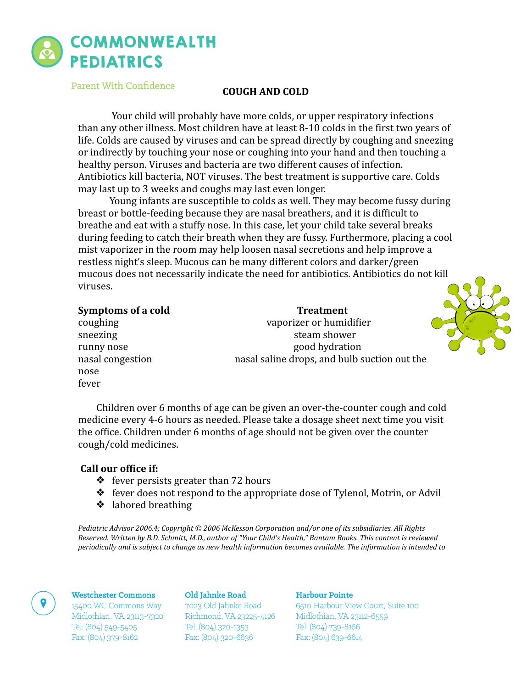

Parent With Confidence

# **COUGH AND COLD**

Your child will probably have more colds, or upper respiratory infections than any other illness. Most children have at least 8-10 colds in the first two years of life. Colds are caused by viruses and can be spread directly by coughing and sneezing or indirectly by touching your nose or coughing into your hand and then touching a healthy person. Viruses and bacteria are two different causes of infection. Antibiotics kill bacteria, NOT viruses. The best treatment is supportive care. Colds may last up to 3 weeks and coughs may last even longer.

Young infants are susceptible to colds as well. They may become fussy during breast or bottle-feeding because they are nasal breathers, and it is difficult to breathe and eat with a stuffy nose. In this case, let your child take several breaks during feeding to catch their breath when they are fussy. Furthermore, placing a cool mist vaporizer in the room may help loosen nasal secretions and help improve a restless night's sleep. Mucous can be many different colors and darker/green mucous does not necessarily indicate the need for antibiotics. Antibiotics do not kill viruses. 

| Symptoms of a cold | <b>Treatment</b>                             |  |
|--------------------|----------------------------------------------|--|
| coughing           | vaporizer or humidifier                      |  |
| sneezing           | steam shower                                 |  |
| runny nose         | good hydration                               |  |
| nasal congestion   | nasal saline drops, and bulb suction out the |  |
| nose               |                                              |  |
| fever              |                                              |  |

Children over 6 months of age can be given an over-the-counter cough and cold medicine every 4-6 hours as needed. Please take a dosage sheet next time you visit the office. Children under 6 months of age should not be given over the counter cough/cold medicines.

## Call our office if:

- $\triangleleft$  fever persists greater than 72 hours
- $\triangleq$  fever does not respond to the appropriate dose of Tylenol, Motrin, or Advil
- ❖ labored breathing

*Pediatric Advisor 2006.4; Copyright* © 2006 McKesson Corporation and/or one of its subsidiaries. All Rights *Reserved. Written by B.D. Schmitt, M.D., author of "Your Child's Health," Bantam Books. This content is reviewed periodically* and is subject to change as new health information becomes available. The information is intended to

#### **Westchester Commons**

15400 WC Commons Way Midlothian, VA 23113-7320 Tel: (804) 549-5405 Fax: (804) 379-8162

Old Jahnke Road 7023 Old Jahnke Road Richmond, VA 23225-4126 Tel: (804) 320-1353 Fax: (804) 320-6636

### Harbour Pointe

6510 Harbour View Court, Suite 100 Midlothian, VA 23112-6559 Tel: (804) 739-8166 Fax: (804) 639-6614